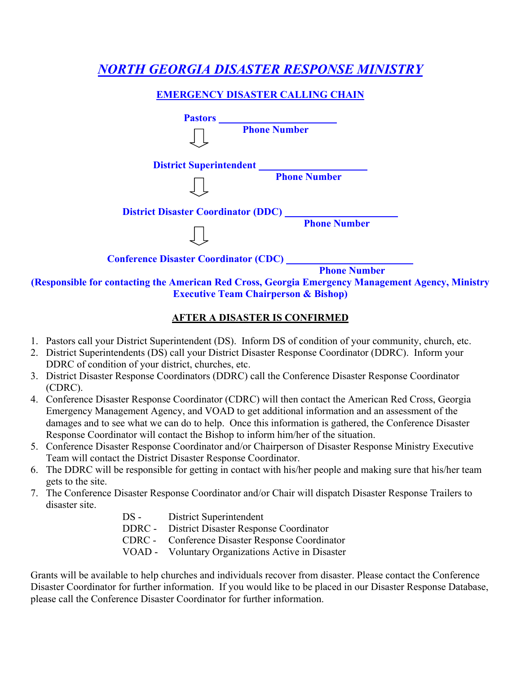# *NORTH GEORGIA DISASTER RESPONSE MINISTRY*

# **EMERGENCY DISASTER CALLING CHAIN**



# **AFTER A DISASTER IS CONFIRMED**

- 1. Pastors call your District Superintendent (DS). Inform DS of condition of your community, church, etc.
- 2. District Superintendents (DS) call your District Disaster Response Coordinator (DDRC). Inform your DDRC of condition of your district, churches, etc.
- 3. District Disaster Response Coordinators (DDRC) call the Conference Disaster Response Coordinator (CDRC).
- 4. Conference Disaster Response Coordinator (CDRC) will then contact the American Red Cross, Georgia Emergency Management Agency, and VOAD to get additional information and an assessment of the damages and to see what we can do to help. Once this information is gathered, the Conference Disaster Response Coordinator will contact the Bishop to inform him/her of the situation.
- 5. Conference Disaster Response Coordinator and/or Chairperson of Disaster Response Ministry Executive Team will contact the District Disaster Response Coordinator.
- 6. The DDRC will be responsible for getting in contact with his/her people and making sure that his/her team gets to the site.
- 7. The Conference Disaster Response Coordinator and/or Chair will dispatch Disaster Response Trailers to disaster site.
	- DS District Superintendent DDRC - District Disaster Response Coordinator CDRC - Conference Disaster Response Coordinator VOAD - Voluntary Organizations Active in Disaster

Grants will be available to help churches and individuals recover from disaster. Please contact the Conference Disaster Coordinator for further information. If you would like to be placed in our Disaster Response Database, please call the Conference Disaster Coordinator for further information.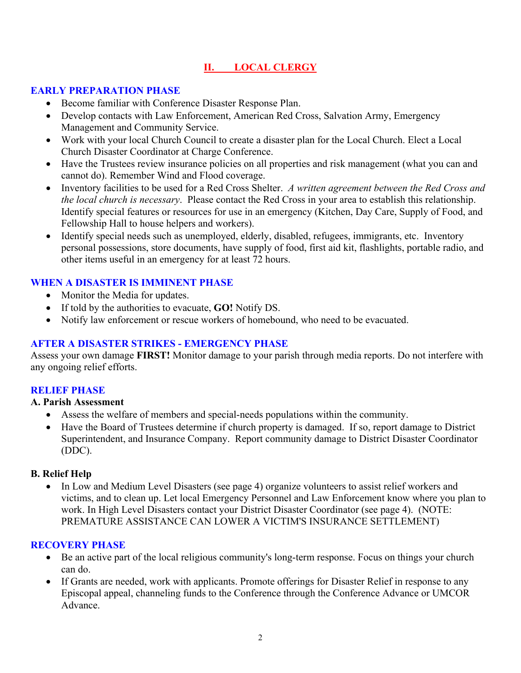# **II. LOCAL CLERGY**

# **EARLY PREPARATION PHASE**

- Become familiar with Conference Disaster Response Plan.
- Develop contacts with Law Enforcement, American Red Cross, Salvation Army, Emergency Management and Community Service.
- Work with your local Church Council to create a disaster plan for the Local Church. Elect a Local Church Disaster Coordinator at Charge Conference.
- Have the Trustees review insurance policies on all properties and risk management (what you can and cannot do). Remember Wind and Flood coverage.
- Inventory facilities to be used for a Red Cross Shelter. *A written agreement between the Red Cross and the local church is necessary*. Please contact the Red Cross in your area to establish this relationship. Identify special features or resources for use in an emergency (Kitchen, Day Care, Supply of Food, and Fellowship Hall to house helpers and workers).
- Identify special needs such as unemployed, elderly, disabled, refugees, immigrants, etc. Inventory personal possessions, store documents, have supply of food, first aid kit, flashlights, portable radio, and other items useful in an emergency for at least 72 hours.

# **WHEN A DISASTER IS IMMINENT PHASE**

- Monitor the Media for updates.
- If told by the authorities to evacuate, **GO!** Notify DS.
- Notify law enforcement or rescue workers of homebound, who need to be evacuated.

# **AFTER A DISASTER STRIKES - EMERGENCY PHASE**

Assess your own damage **FIRST!** Monitor damage to your parish through media reports. Do not interfere with any ongoing relief efforts.

#### **RELIEF PHASE**

#### **A. Parish Assessment**

- Assess the welfare of members and special-needs populations within the community.
- Have the Board of Trustees determine if church property is damaged. If so, report damage to District Superintendent, and Insurance Company. Report community damage to District Disaster Coordinator (DDC).

#### **B. Relief Help**

• In Low and Medium Level Disasters (see page 4) organize volunteers to assist relief workers and victims, and to clean up. Let local Emergency Personnel and Law Enforcement know where you plan to work. In High Level Disasters contact your District Disaster Coordinator (see page 4). (NOTE: PREMATURE ASSISTANCE CAN LOWER A VICTIM'S INSURANCE SETTLEMENT)

#### **RECOVERY PHASE**

- Be an active part of the local religious community's long-term response. Focus on things your church can do.
- If Grants are needed, work with applicants. Promote offerings for Disaster Relief in response to any Episcopal appeal, channeling funds to the Conference through the Conference Advance or UMCOR Advance.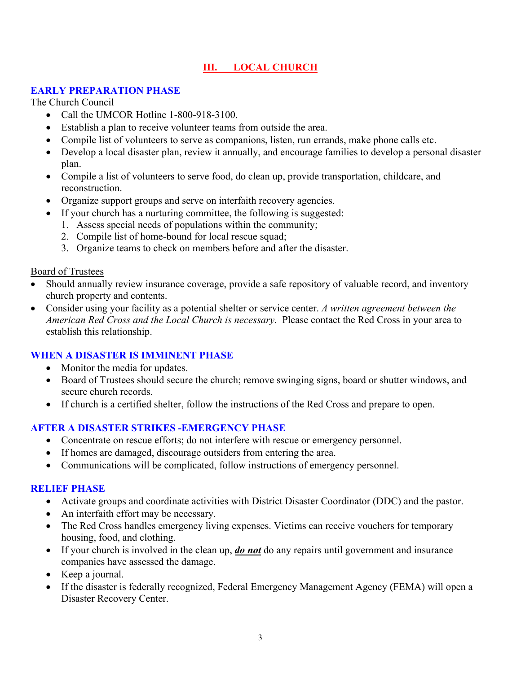# **III. LOCAL CHURCH**

# **EARLY PREPARATION PHASE**

The Church Council

- Call the UMCOR Hotline 1-800-918-3100.
- Establish a plan to receive volunteer teams from outside the area.
- Compile list of volunteers to serve as companions, listen, run errands, make phone calls etc.
- Develop a local disaster plan, review it annually, and encourage families to develop a personal disaster plan.
- Compile a list of volunteers to serve food, do clean up, provide transportation, childcare, and reconstruction.
- Organize support groups and serve on interfaith recovery agencies.
- If your church has a nurturing committee, the following is suggested:
	- 1. Assess special needs of populations within the community;
	- 2. Compile list of home-bound for local rescue squad;
	- 3. Organize teams to check on members before and after the disaster.

#### Board of Trustees

- Should annually review insurance coverage, provide a safe repository of valuable record, and inventory church property and contents.
- Consider using your facility as a potential shelter or service center. *A written agreement between the American Red Cross and the Local Church is necessary.* Please contact the Red Cross in your area to establish this relationship.

# **WHEN A DISASTER IS IMMINENT PHASE**

- Monitor the media for updates.
- Board of Trustees should secure the church; remove swinging signs, board or shutter windows, and secure church records.
- If church is a certified shelter, follow the instructions of the Red Cross and prepare to open.

# **AFTER A DISASTER STRIKES -EMERGENCY PHASE**

- Concentrate on rescue efforts; do not interfere with rescue or emergency personnel.
- If homes are damaged, discourage outsiders from entering the area.
- Communications will be complicated, follow instructions of emergency personnel.

# **RELIEF PHASE**

- Activate groups and coordinate activities with District Disaster Coordinator (DDC) and the pastor.
- An interfaith effort may be necessary.
- The Red Cross handles emergency living expenses. Victims can receive vouchers for temporary housing, food, and clothing.
- If your church is involved in the clean up, *do not* do any repairs until government and insurance companies have assessed the damage.
- Keep a journal.
- If the disaster is federally recognized, Federal Emergency Management Agency (FEMA) will open a Disaster Recovery Center.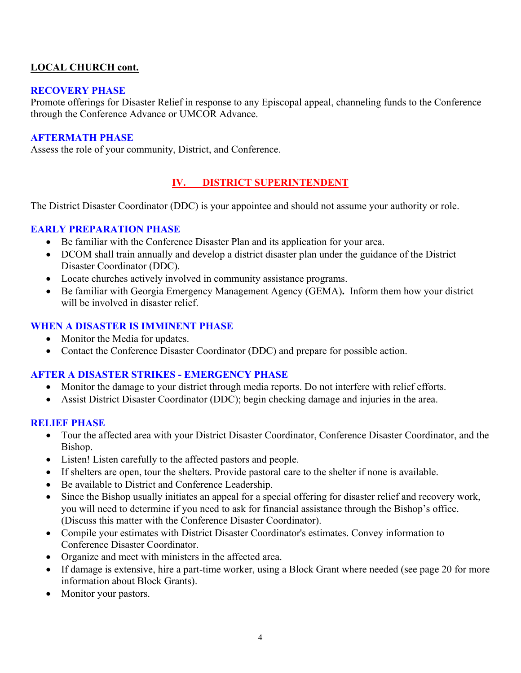# **LOCAL CHURCH cont.**

#### **RECOVERY PHASE**

Promote offerings for Disaster Relief in response to any Episcopal appeal, channeling funds to the Conference through the Conference Advance or UMCOR Advance.

#### **AFTERMATH PHASE**

Assess the role of your community, District, and Conference.

# **IV. DISTRICT SUPERINTENDENT**

The District Disaster Coordinator (DDC) is your appointee and should not assume your authority or role.

# **EARLY PREPARATION PHASE**

- Be familiar with the Conference Disaster Plan and its application for your area.
- DCOM shall train annually and develop a district disaster plan under the guidance of the District Disaster Coordinator (DDC).
- Locate churches actively involved in community assistance programs.
- Be familiar with Georgia Emergency Management Agency (GEMA)**.** Inform them how your district will be involved in disaster relief.

#### **WHEN A DISASTER IS IMMINENT PHASE**

- Monitor the Media for updates.
- Contact the Conference Disaster Coordinator (DDC) and prepare for possible action.

# **AFTER A DISASTER STRIKES - EMERGENCY PHASE**

- Monitor the damage to your district through media reports. Do not interfere with relief efforts.
- Assist District Disaster Coordinator (DDC); begin checking damage and injuries in the area.

# **RELIEF PHASE**

- Tour the affected area with your District Disaster Coordinator, Conference Disaster Coordinator, and the Bishop.
- Listen! Listen carefully to the affected pastors and people.
- If shelters are open, tour the shelters. Provide pastoral care to the shelter if none is available.
- Be available to District and Conference Leadership.
- Since the Bishop usually initiates an appeal for a special offering for disaster relief and recovery work, you will need to determine if you need to ask for financial assistance through the Bishop's office. (Discuss this matter with the Conference Disaster Coordinator).
- Compile your estimates with District Disaster Coordinator's estimates. Convey information to Conference Disaster Coordinator.
- Organize and meet with ministers in the affected area.
- If damage is extensive, hire a part-time worker, using a Block Grant where needed (see page 20 for more information about Block Grants).
- Monitor your pastors.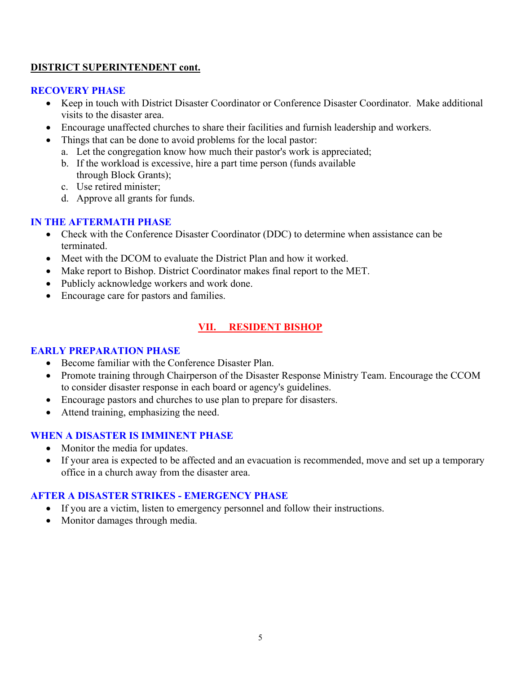#### **DISTRICT SUPERINTENDENT cont.**

#### **RECOVERY PHASE**

- Keep in touch with District Disaster Coordinator or Conference Disaster Coordinator. Make additional visits to the disaster area.
- Encourage unaffected churches to share their facilities and furnish leadership and workers.
- Things that can be done to avoid problems for the local pastor:
	- a. Let the congregation know how much their pastor's work is appreciated;
	- b. If the workload is excessive, hire a part time person (funds available through Block Grants);
	- c. Use retired minister;
	- d. Approve all grants for funds.

#### **IN THE AFTERMATH PHASE**

- Check with the Conference Disaster Coordinator (DDC) to determine when assistance can be terminated.
- Meet with the DCOM to evaluate the District Plan and how it worked.
- Make report to Bishop. District Coordinator makes final report to the MET.
- Publicly acknowledge workers and work done.
- Encourage care for pastors and families.

# **VII. RESIDENT BISHOP**

#### **EARLY PREPARATION PHASE**

- Become familiar with the Conference Disaster Plan.
- Promote training through Chairperson of the Disaster Response Ministry Team. Encourage the CCOM to consider disaster response in each board or agency's guidelines.
- Encourage pastors and churches to use plan to prepare for disasters.
- Attend training, emphasizing the need.

# **WHEN A DISASTER IS IMMINENT PHASE**

- Monitor the media for updates.
- If your area is expected to be affected and an evacuation is recommended, move and set up a temporary office in a church away from the disaster area.

# **AFTER A DISASTER STRIKES - EMERGENCY PHASE**

- If you are a victim, listen to emergency personnel and follow their instructions.
- Monitor damages through media.